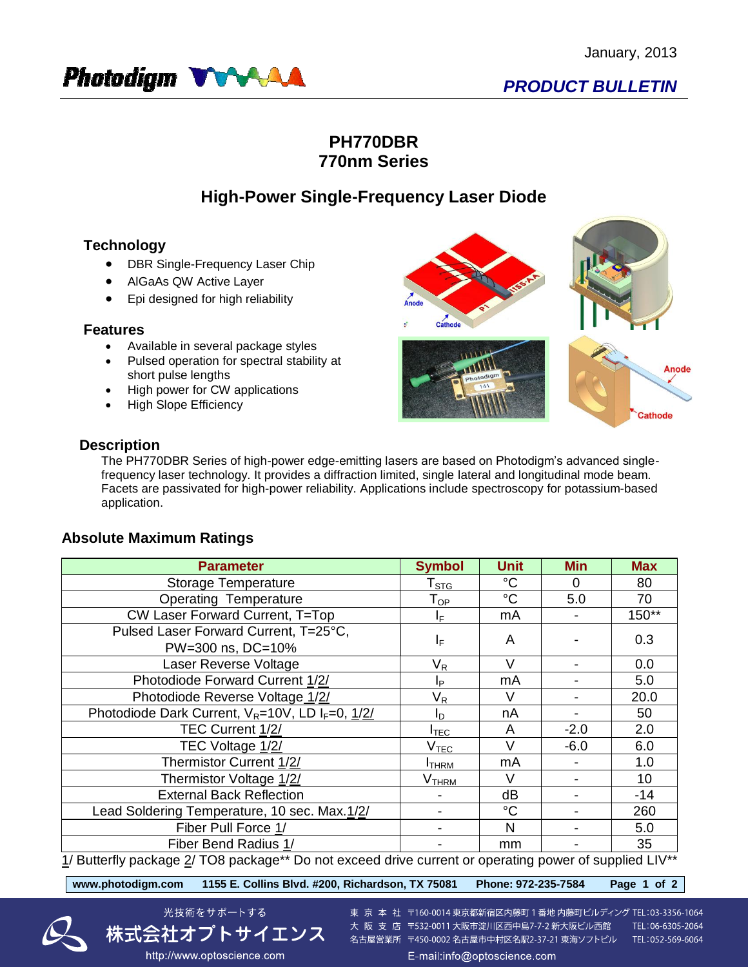

# **PH770DBR 770nm Series**

# **High-Power Single-Frequency Laser Diode**

## **Technology**

- DBR Single-Frequency Laser Chip
- AlGaAs QW Active Layer
- Epi designed for high reliability

### **Features**

- Available in several package styles
- Pulsed operation for spectral stability at short pulse lengths
- High power for CW applications
- High Slope Efficiency



### **Description**

The PH770DBR Series of high-power edge-emitting lasers are based on Photodigm's advanced singlefrequency laser technology. It provides a diffraction limited, single lateral and longitudinal mode beam. Facets are passivated for high-power reliability. Applications include spectroscopy for potassium-based application.

## **Absolute Maximum Ratings**

| <b>Parameter</b>                                                                                                             | <b>Symbol</b>              | <b>Unit</b>     | <b>Min</b> | <b>Max</b> |
|------------------------------------------------------------------------------------------------------------------------------|----------------------------|-----------------|------------|------------|
| Storage Temperature                                                                                                          | ${\sf T}_{\text{STG}}$     | $^{\circ}C$     | $\Omega$   | 80         |
| <b>Operating Temperature</b>                                                                                                 | $\mathsf{T}_{\mathsf{OP}}$ | $\rm ^{\circ}C$ | 5.0        | 70         |
| CW Laser Forward Current, T=Top                                                                                              | ΙF                         | mA              |            | $150**$    |
| Pulsed Laser Forward Current, T=25°C,<br>PW=300 ns, DC=10%                                                                   | IF.                        | A               |            | 0.3        |
| Laser Reverse Voltage                                                                                                        | V <sub>R</sub>             | $\vee$          |            | 0.0        |
| Photodiode Forward Current 1/2/                                                                                              | Ιp                         | mA              |            | 5.0        |
| Photodiode Reverse Voltage 1/2/                                                                                              | V <sub>R</sub>             | V               |            | 20.0       |
| Photodiode Dark Current, $V_R = 10V$ , LD I <sub>F</sub> =0, 1/2/                                                            | I <sub>D</sub>             | nA              |            | 50         |
| TEC Current 1/2/                                                                                                             | I <sub>TEC</sub>           | A               | $-2.0$     | 2.0        |
| TEC Voltage 1/2/                                                                                                             | $\rm V_{TEC}$              | $\vee$          | $-6.0$     | 6.0        |
| Thermistor Current 1/2/                                                                                                      | <b>I</b> THRM              | mA              |            | 1.0        |
| Thermistor Voltage 1/2/                                                                                                      | V <sub>THRM</sub>          | $\vee$          |            | 10         |
| <b>External Back Reflection</b>                                                                                              |                            | dB              |            | $-14$      |
| Lead Soldering Temperature, 10 sec. Max.1/2/                                                                                 |                            | $^{\circ}C$     |            | 260        |
| Fiber Pull Force 1/                                                                                                          |                            | N               |            | 5.0        |
| Fiber Bend Radius 1/<br>$4/5.$ the official control $0/700$ is a clear of $\hbar$ Depends on a clear of planet control on an |                            | mm<br>- 11.-    |            | 35         |

 $1/$  Butterfly package  $2/$  TO8 package\*\* Do not exceed drive current or operating power of supplied LIV

**www.photodigm.com 1155 E. Collins Blvd. #200, Richardson, TX 75081 Phone: 972-235-7584 Page 1 of 2** 





東 京 本 社 〒160-0014 東京都新宿区内藤町 1 番地 内藤町ビルディング TEL:03-3356-1064 大阪支店 〒532-0011 大阪市淀川区西中島7-7-2 新大阪ビル西館 TEL:06-6305-2064 名古屋営業所 〒450-0002 名古屋市中村区名駅2-37-21 東海ソフトビル TEL:052-569-6064 E-mail:info@optoscience.com